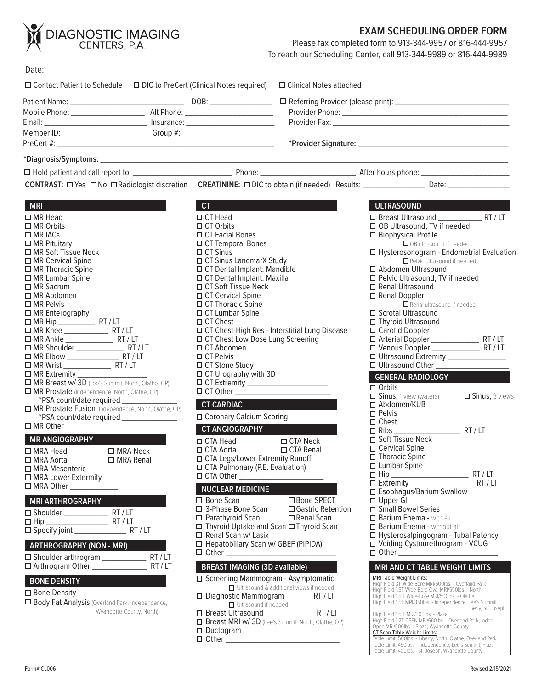

#### **EXAM SCHEDULING ORDER FORM**

Please fax completed form to 913-344-9957 or 816-444-9957 To reach our Scheduling Center, call 913-344-9989 or 816-444-9989

| □ Contact Patient to Schedule □ DIC to PreCert (Clinical Notes required) □ Clinical Notes attached                                                                                                                                                                                                                                                                                                                                                                                                                                                                                                                                                                                                                                                                                                                                                                             |                                                                                                                                                                                                                                                                                                                                                                                                                                                                                                                                                                                                                                                |                                                                                                                      |                                                                                                                                                                                                                                                                                                                                                                                                                                                                                                                                                                                                                                                                           |
|--------------------------------------------------------------------------------------------------------------------------------------------------------------------------------------------------------------------------------------------------------------------------------------------------------------------------------------------------------------------------------------------------------------------------------------------------------------------------------------------------------------------------------------------------------------------------------------------------------------------------------------------------------------------------------------------------------------------------------------------------------------------------------------------------------------------------------------------------------------------------------|------------------------------------------------------------------------------------------------------------------------------------------------------------------------------------------------------------------------------------------------------------------------------------------------------------------------------------------------------------------------------------------------------------------------------------------------------------------------------------------------------------------------------------------------------------------------------------------------------------------------------------------------|----------------------------------------------------------------------------------------------------------------------|---------------------------------------------------------------------------------------------------------------------------------------------------------------------------------------------------------------------------------------------------------------------------------------------------------------------------------------------------------------------------------------------------------------------------------------------------------------------------------------------------------------------------------------------------------------------------------------------------------------------------------------------------------------------------|
| Member ID: _________________________________Group #: ___________________________                                                                                                                                                                                                                                                                                                                                                                                                                                                                                                                                                                                                                                                                                                                                                                                               |                                                                                                                                                                                                                                                                                                                                                                                                                                                                                                                                                                                                                                                |                                                                                                                      |                                                                                                                                                                                                                                                                                                                                                                                                                                                                                                                                                                                                                                                                           |
|                                                                                                                                                                                                                                                                                                                                                                                                                                                                                                                                                                                                                                                                                                                                                                                                                                                                                |                                                                                                                                                                                                                                                                                                                                                                                                                                                                                                                                                                                                                                                |                                                                                                                      |                                                                                                                                                                                                                                                                                                                                                                                                                                                                                                                                                                                                                                                                           |
|                                                                                                                                                                                                                                                                                                                                                                                                                                                                                                                                                                                                                                                                                                                                                                                                                                                                                |                                                                                                                                                                                                                                                                                                                                                                                                                                                                                                                                                                                                                                                |                                                                                                                      |                                                                                                                                                                                                                                                                                                                                                                                                                                                                                                                                                                                                                                                                           |
|                                                                                                                                                                                                                                                                                                                                                                                                                                                                                                                                                                                                                                                                                                                                                                                                                                                                                |                                                                                                                                                                                                                                                                                                                                                                                                                                                                                                                                                                                                                                                |                                                                                                                      |                                                                                                                                                                                                                                                                                                                                                                                                                                                                                                                                                                                                                                                                           |
| <b>MRI</b>                                                                                                                                                                                                                                                                                                                                                                                                                                                                                                                                                                                                                                                                                                                                                                                                                                                                     | CT -                                                                                                                                                                                                                                                                                                                                                                                                                                                                                                                                                                                                                                           | <u> 1980 - Johann Barn, amerikan bestemannten bestemannten bestemannten bestemannten bestemannten bestemannten b</u> | ULTRASOUND                                                                                                                                                                                                                                                                                                                                                                                                                                                                                                                                                                                                                                                                |
| $\Box$ MR Head<br>$\Box$ MR Orbits<br>$\Box$ MR IACs<br>$\Box$ MR Pituitary<br>□ MR Soft Tissue Neck<br>□ MR Cervical Spine<br>□ MR Thoracic Spine<br>$\Box$ MR Lumbar Spine<br>$\Box$ MR Sacrum<br>$\Box$ MR Abdomen<br>$\Box$ MR Pelvis<br>□ MR Enterography<br>$\Box$ MR Hip $\_\_\_\_\_\_\$ RT / LT<br>□ MR Extremity __________________<br>MR Breast w/ 3D (Lee's Summit, North, Olathe, OP)<br>MR Prostate (Independence, North, Olathe, OP)<br>*PSA count/date required _______________<br>MR Prostate Fusion (Independence, North, Olathe, OP)<br>*PSA count/date required ________________<br>MR ANGIOGRAPHY AND THE RESERVE THE RESERVE TO A REPORT OF THE RESERVE THAT A REPORT OF THE RESERVE THAT A REPORT OF THE RESERVE THAT A REPORT OF THE REPORT OF THE REPORT OF THE REPORT OF THE REPORT OF THE REPORT OF THE REP<br>$\square$ MRA Neck<br>$\Box$ MRA Head | $\Box$ CT Head<br>$\Box$ CT Orbits<br>□ CT Facial Bones<br>□ CT Temporal Bones<br>$\Box$ CT Sinus<br>□ CT Sinus LandmarX Study<br>□ CT Dental Implant: Mandible<br>□ CT Dental Implant: Maxilla<br>$\Box$ CT Soft Tissue Neck<br>□ CT Cervical Spine<br>□ CT Thoracic Spine<br>□ CT Lumbar Spine<br>$\Box$ CT Chest<br>□ CT Chest-High Res - Interstitial Lung Disease<br>□ CT Chest Low Dose Lung Screening<br>□ CT Abdomen<br>$\Box$ CT Pelvis<br>□ CT Stone Study<br>□ CT Urography with 3D<br>O CT Other<br><b>CT CARDIAC</b><br>□ Coronary Calcium Scoring<br><b>CT ANGIOGRAPHY CT ANGIOGRAPHY</b><br>$\Box$ CTA Head<br>$\Box$ CTA Aorta | $\Box$ CTA Neck<br>$\Box$ CTA Renal                                                                                  | □ OB Ultrasound, TV if needed<br>$\Box$ Biophysical Profile<br>$\Box$ OB ultrasound if needed<br>□ Hysterosonogram - Endometrial Evaluation<br>Pelvic ultrasound if needed<br>□ Abdomen Ultrasound<br>□ Pelvic Ultrasound, TV if needed<br>□ Renal Ultrasound<br>Renal Doppler<br>Renal ultrasound if needed<br>□ Scrotal Ultrasound<br>□ Thyroid Ultrasound<br>□ Carotid Doppler<br>□ Ultrasound Extremity ________________<br>□ Ultrasound Other<br><b>GENERAL RADIOLOGY</b><br>$\Box$ Orbits<br>□ Sinus, 1 view (waters)<br>Sinus, 3 views<br>□ Abdomen/KUB<br>$\Box$ Pelvis<br>$\Box$ Chest<br>□ Soft Tissue Neck<br>$\Box$ Cervical Spine<br>$\Box$ Thoracic Spine   |
| □ MRA Aorta<br>□ MRA Renal<br>□ MRA Mesenteric<br>□ MRA Lower Extermity<br>$\Box$ MRA Other $\_\_\_\_\_\_\_\_\_\_\_\_\_\_\_\_$                                                                                                                                                                                                                                                                                                                                                                                                                                                                                                                                                                                                                                                                                                                                                 | □ CTA Legs/Lower Extremity Runoff<br>□ CTA Pulmonary (P.E. Evaluation)<br>NUCLEAR MEDICINE                                                                                                                                                                                                                                                                                                                                                                                                                                                                                                                                                     |                                                                                                                      | $\Box$ Lumbar Spine<br>□ Esophagus/Barium Swallow                                                                                                                                                                                                                                                                                                                                                                                                                                                                                                                                                                                                                         |
| <b>MRI ARTHROGRAPHY</b><br>$\square$ Hip $\square$<br><b>ARTHROGRAPHY (NON - MRI)</b><br><b>BONE DENSITY</b><br>$\Box$ Bone Density<br>□ Body Fat Analysis (Overland Park, Independence,<br>Wyandotte County, North)                                                                                                                                                                                                                                                                                                                                                                                                                                                                                                                                                                                                                                                           | $\Box$ Bone Scan<br>□ 3-Phase Bone Scan<br>$\Box$ Parathyroid Scan<br>□ Thyroid Uptake and Scan □ Thyroid Scan<br>$\Box$ Renal Scan w/ Lasix<br>□ Hepatobiliary Scan w/ GBEF (PIPIDA)<br><b>BREAST IMAGING (3D available)</b><br>□ Screening Mammogram - Asymptomatic<br>□ Diagnostic Mammogram ________ RT / LT<br>□ Ultrasound if needed<br><b>O</b> Breast MRI w/ 3D (Lee's Summit, North, Olathe, OP)                                                                                                                                                                                                                                      | □ Bone SPECT<br>□ Gastric Retention<br>$\Box$ Renal Scan<br>Ultrasound & additional views if needed                  | $\Box$ Upper GI<br>□ Small Bowel Series<br><b>D</b> Barium Enema - with air<br>Barium Enema - without air<br>□ Hysterosalpingogram - Tubal Patency<br>□ Voiding Cystourethrogram - VCUG<br><b>MRI AND CT TABLE WEIGHT LIMITS</b><br><b>MRI Table Weight Limits:</b><br>High Field 3T Wide-Bore MRI/500lbs. - Overland Park<br>High Field 1.5T Wide-Bore Oval MRI/550lbs. - North<br>High Field 1.5 T Wide-Bore MRI/500lbs. - Olathe<br>High Field 1.5T MRI/350lbs. - Independence, Lee's Summit,<br>Liberty, St. Joseph<br>High Field 1.5 T MRI/300lbs. - Plaza<br>High Field 1.2T OPEN MRI/660lbs. - Overland Park, Indep.<br>Open MRI/500lbs. - Plaza, Wyandotte County |

- □ Ductogram
- $\Box$  Other  $\overline{\phantom{a}}$